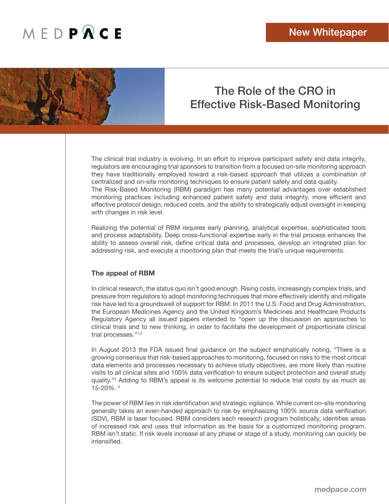

### The Role of the CRO in Effective Risk-Based Monitoring

The clinical trial industry is evolving. In an effort to improve participant safety and data integrity, regulators are encouraging trial sponsors to transition from a focused on-site monitoring approach they have traditionally employed toward a risk-based approach that utilizes a combination of centralized and on-site monitoring techniques to ensure patient safety and data quality. The Risk-Based Monitoring (RBM) paradigm has many potential advantages over established monitoring practices including enhanced patient safety and data integrity, more efficient and effective protocol design, reduced costs, and the ability to strategically adjust oversight in keeping with changes in risk level.

Realizing the potential of RBM requires early planning, analytical expertise, sophisticated tools and process adaptability. Deep cross-functional expertise early in the trial process enhances the ability to assess overall risk, define critical data and processes, develop an integrated plan for addressing risk, and execute a monitoring plan that meets the trial's unique requirements.

### **The appeal of RBM**

In clinical research, the status quo isn't good enough. Rising costs, increasingly complex trials, and pressure from regulators to adopt monitoring techniques that more effectively identify and mitigate risk have led to a groundswell of support for RBM. In 2011 the U.S. Food and Drug Administration, the European Medicines Agency and the United Kingdom's Medicines and Healthcare Products Regulatory Agency all issued papers intended to "open up the discussion on approaches to clinical trials and to new thinking, in order to facilitate the development of proportionate clinical trial processes."1,2

In August 2013 the FDA issued final guidance on the subject emphatically noting, "There is a growing consensus that risk-based approaches to monitoring, focused on risks to the most critical data elements and processes necessary to achieve study objectives, are more likely than routine visits to all clinical sites and 100% data verification to ensure subject protection and overall study quality."3 Adding to RBM's appeal is its welcome potential to reduce trial costs by as much as 15-20%. 4

The power of RBM lies in risk identification and strategic vigilance. While current on-site monitoring generally takes an even-handed approach to risk by emphasizing 100% source data verification (SDV), RBM is laser focused. RBM considers each research program holistically, identifies areas of increased risk and uses that information as the basis for a customized monitoring program. RBM isn't static. If risk levels increase at any phase or stage of a study, monitoring can quickly be intensified.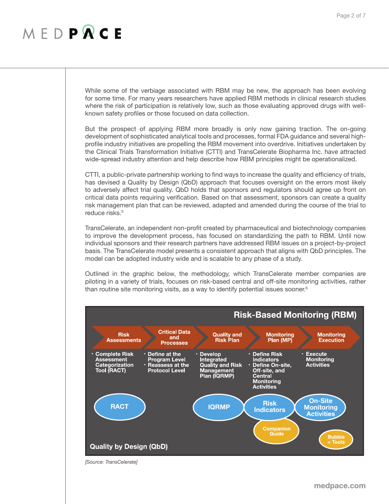While some of the verbiage associated with RBM may be new, the approach has been evolving for some time. For many years researchers have applied RBM methods in clinical research studies where the risk of participation is relatively low, such as those evaluating approved drugs with wellknown safety profiles or those focused on data collection.

But the prospect of applying RBM more broadly is only now gaining traction. The on-going development of sophisticated analytical tools and processes, formal FDA guidance and several highprofile industry initiatives are propelling the RBM movement into overdrive. Initiatives undertaken by the Clinical Trials Transformation Initiative (CTTI) and TransCelerate Biopharma Inc. have attracted wide-spread industry attention and help describe how RBM principles might be operationalized.

CTTI, a public-private partnership working to find ways to increase the quality and efficiency of trials, has devised a Quality by Design (QbD) approach that focuses oversight on the errors most likely to adversely affect trial quality. QbD holds that sponsors and regulators should agree up front on critical data points requiring verification. Based on that assessment, sponsors can create a quality risk management plan that can be reviewed, adapted and amended during the course of the trial to reduce risks.<sup>5</sup>

TransCelerate, an independent non-profit created by pharmaceutical and biotechnology companies to improve the development process, has focused on standardizing the path to RBM. Until now individual sponsors and their research partners have addressed RBM issues on a project-by-project basis. The TransCelerate model presents a consistent approach that aligns with QbD principles. The model can be adopted industry wide and is scalable to any phase of a study.

Outlined in the graphic below, the methodology, which TransCelerate member companies are piloting in a variety of trials, focuses on risk-based central and off-site monitoring activities, rather than routine site monitoring visits, as a way to identify potential issues sooner. $6$ 



*[Source: TransCelerate]*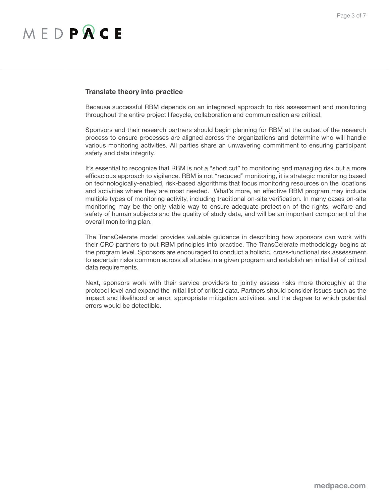### **Translate theory into practice**

Because successful RBM depends on an integrated approach to risk assessment and monitoring throughout the entire project lifecycle, collaboration and communication are critical.

Sponsors and their research partners should begin planning for RBM at the outset of the research process to ensure processes are aligned across the organizations and determine who will handle various monitoring activities. All parties share an unwavering commitment to ensuring participant safety and data integrity.

It's essential to recognize that RBM is not a "short cut" to monitoring and managing risk but a more efficacious approach to vigilance. RBM is not "reduced" monitoring, it is strategic monitoring based on technologically-enabled, risk-based algorithms that focus monitoring resources on the locations and activities where they are most needed. What's more, an effective RBM program may include multiple types of monitoring activity, including traditional on-site verification. In many cases on-site monitoring may be the only viable way to ensure adequate protection of the rights, welfare and safety of human subjects and the quality of study data, and will be an important component of the overall monitoring plan.

The TransCelerate model provides valuable guidance in describing how sponsors can work with their CRO partners to put RBM principles into practice. The TransCelerate methodology begins at the program level. Sponsors are encouraged to conduct a holistic, cross-functional risk assessment to ascertain risks common across all studies in a given program and establish an initial list of critical data requirements.

Next, sponsors work with their service providers to jointly assess risks more thoroughly at the protocol level and expand the initial list of critical data. Partners should consider issues such as the impact and likelihood or error, appropriate mitigation activities, and the degree to which potential errors would be detectible.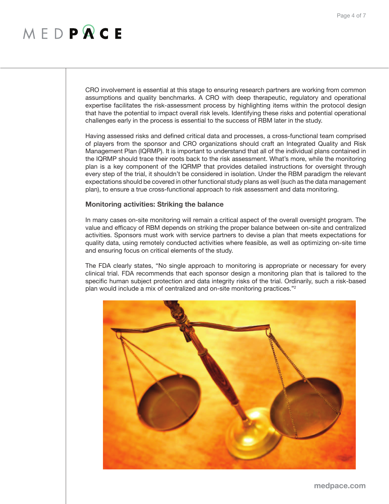CRO involvement is essential at this stage to ensuring research partners are working from common assumptions and quality benchmarks. A CRO with deep therapeutic, regulatory and operational expertise facilitates the risk-assessment process by highlighting items within the protocol design that have the potential to impact overall risk levels. Identifying these risks and potential operational challenges early in the process is essential to the success of RBM later in the study.

Having assessed risks and defined critical data and processes, a cross-functional team comprised of players from the sponsor and CRO organizations should craft an Integrated Quality and Risk Management Plan (IQRMP). It is important to understand that all of the individual plans contained in the IQRMP should trace their roots back to the risk assessment. What's more, while the monitoring plan is a key component of the IQRMP that provides detailed instructions for oversight through every step of the trial, it shouldn't be considered in isolation. Under the RBM paradigm the relevant expectations should be covered in other functional study plans as well (such as the data management plan), to ensure a true cross-functional approach to risk assessment and data monitoring.

#### **Monitoring activities: Striking the balance**

In many cases on-site monitoring will remain a critical aspect of the overall oversight program. The value and efficacy of RBM depends on striking the proper balance between on-site and centralized activities. Sponsors must work with service partners to devise a plan that meets expectations for quality data, using remotely conducted activities where feasible, as well as optimizing on-site time and ensuring focus on critical elements of the study.

The FDA clearly states, "No single approach to monitoring is appropriate or necessary for every clinical trial. FDA recommends that each sponsor design a monitoring plan that is tailored to the specific human subject protection and data integrity risks of the trial. Ordinarily, such a risk-based plan would include a mix of centralized and on-site monitoring practices."2

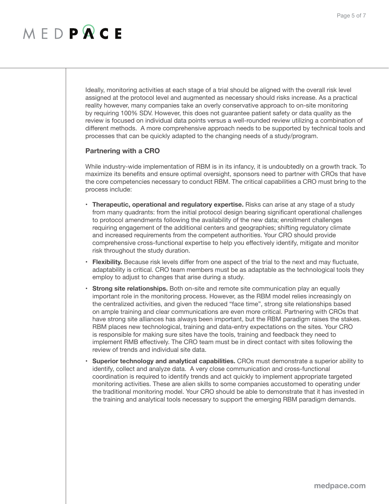Ideally, monitoring activities at each stage of a trial should be aligned with the overall risk level assigned at the protocol level and augmented as necessary should risks increase. As a practical reality however, many companies take an overly conservative approach to on-site monitoring by requiring 100% SDV. However, this does not guarantee patient safety or data quality as the review is focused on individual data points versus a well-rounded review utilizing a combination of different methods. A more comprehensive approach needs to be supported by technical tools and processes that can be quickly adapted to the changing needs of a study/program.

### **Partnering with a CRO**

While industry-wide implementation of RBM is in its infancy, it is undoubtedly on a growth track. To maximize its benefits and ensure optimal oversight, sponsors need to partner with CROs that have the core competencies necessary to conduct RBM. The critical capabilities a CRO must bring to the process include:

- **• Therapeutic, operational and regulatory expertise.** Risks can arise at any stage of a study from many quadrants: from the initial protocol design bearing significant operational challenges to protocol amendments following the availability of the new data; enrollment challenges requiring engagement of the additional centers and geographies; shifting regulatory climate and increased requirements from the competent authorities. Your CRO should provide comprehensive cross-functional expertise to help you effectively identify, mitigate and monitor risk throughout the study duration.
- **Flexibility.** Because risk levels differ from one aspect of the trial to the next and may fluctuate, adaptability is critical. CRO team members must be as adaptable as the technological tools they employ to adjust to changes that arise during a study.
- **Strong site relationships.** Both on-site and remote site communication play an equally important role in the monitoring process. However, as the RBM model relies increasingly on the centralized activities, and given the reduced "face time", strong site relationships based on ample training and clear communications are even more critical. Partnering with CROs that have strong site alliances has always been important, but the RBM paradigm raises the stakes. RBM places new technological, training and data-entry expectations on the sites. Your CRO is responsible for making sure sites have the tools, training and feedback they need to implement RMB effectively. The CRO team must be in direct contact with sites following the review of trends and individual site data.
- **• Superior technology and analytical capabilities.** CROs must demonstrate a superior ability to identify, collect and analyze data. A very close communication and cross-functional coordination is required to identify trends and act quickly to implement appropriate targeted monitoring activities. These are alien skills to some companies accustomed to operating under the traditional monitoring model. Your CRO should be able to demonstrate that it has invested in the training and analytical tools necessary to support the emerging RBM paradigm demands.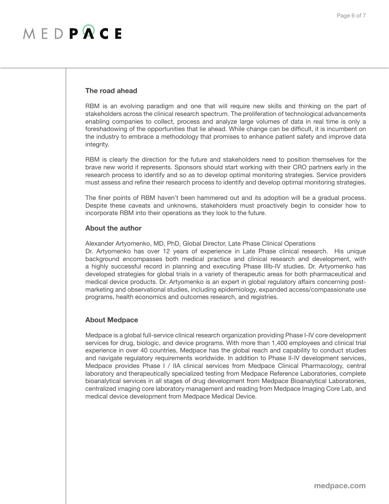### MEDPRCE

#### **The road ahead**

RBM is an evolving paradigm and one that will require new skills and thinking on the part of stakeholders across the clinical research spectrum. The proliferation of technological advancements enabling companies to collect, process and analyze large volumes of data in real time is only a foreshadowing of the opportunities that lie ahead. While change can be difficult, it is incumbent on the industry to embrace a methodology that promises to enhance patient safety and improve data integrity.

RBM is clearly the direction for the future and stakeholders need to position themselves for the brave new world it represents. Sponsors should start working with their CRO partners early in the research process to identify and so as to develop optimal monitoring strategies. Service providers must assess and refine their research process to identify and develop optimal monitoring strategies.

The finer points of RBM haven't been hammered out and its adoption will be a gradual process. Despite these caveats and unknowns, stakeholders must proactively begin to consider how to incorporate RBM into their operations as they look to the future.

#### **About the author**

Alexander Artyomenko, MD, PhD, Global Director, Late Phase Clinical Operations

Dr. Artyomenko has over 12 years of experience in Late Phase clinical research. His unique background encompasses both medical practice and clinical research and development, with a highly successful record in planning and executing Phase IIIb-IV studies. Dr. Artyomenko has developed strategies for global trials in a variety of therapeutic areas for both pharmaceutical and medical device products. Dr. Artyomenko is an expert in global regulatory affairs concerning postmarketing and observational studies, including epidemiology, expanded access/compassionate use programs, health economics and outcomes research, and registries.

### **About Medpace**

Medpace is a global full-service clinical research organization providing Phase I-IV core development services for drug, biologic, and device programs. With more than 1,400 employees and clinical trial experience in over 40 countries, Medpace has the global reach and capability to conduct studies and navigate regulatory requirements worldwide. In addition to Phase II-IV development services, Medpace provides Phase I / IIA clinical services from Medpace Clinical Pharmacology, central laboratory and therapeutically specialized testing from Medpace Reference Laboratories, complete bioanalytical services in all stages of drug development from Medpace Bioanalytical Laboratories, centralized imaging core laboratory management and reading from Medpace Imaging Core Lab, and medical device development from Medpace Medical Device.